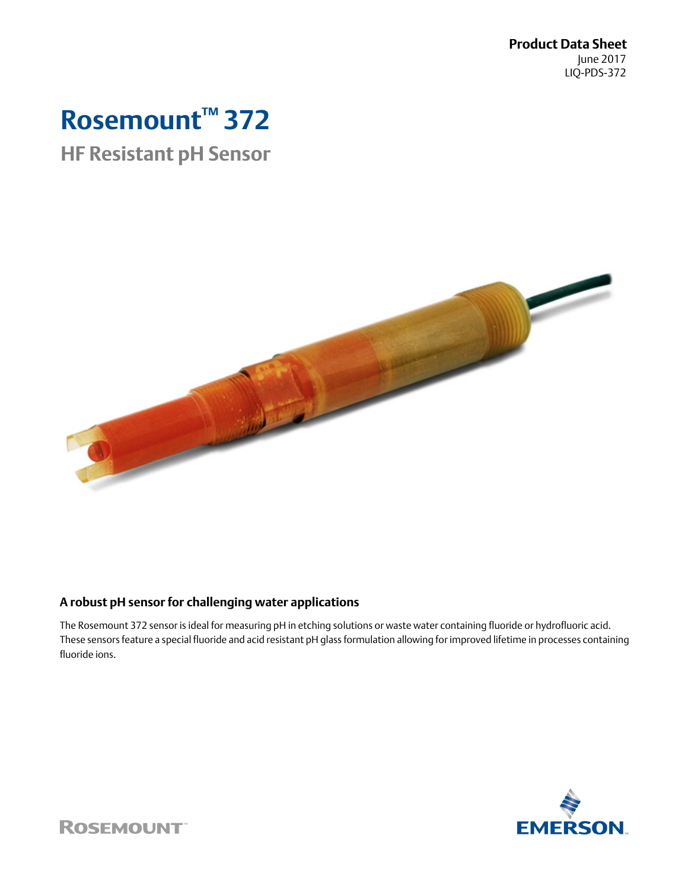**Product Data Sheet** June 2017 LIQ-PDS-372

# **Rosemount™ 372**

## **HF Resistant pH Sensor**



### **A robust pH sensor for challenging water applications**

The Rosemount 372 sensor is ideal for measuring pH in etching solutions or waste water containing fluoride or hydrofluoric acid. These sensors feature a special fluoride and acid resistant pH glass formulation allowing for improved lifetime in processes containing fluoride ions.



**ROSEMOUNT**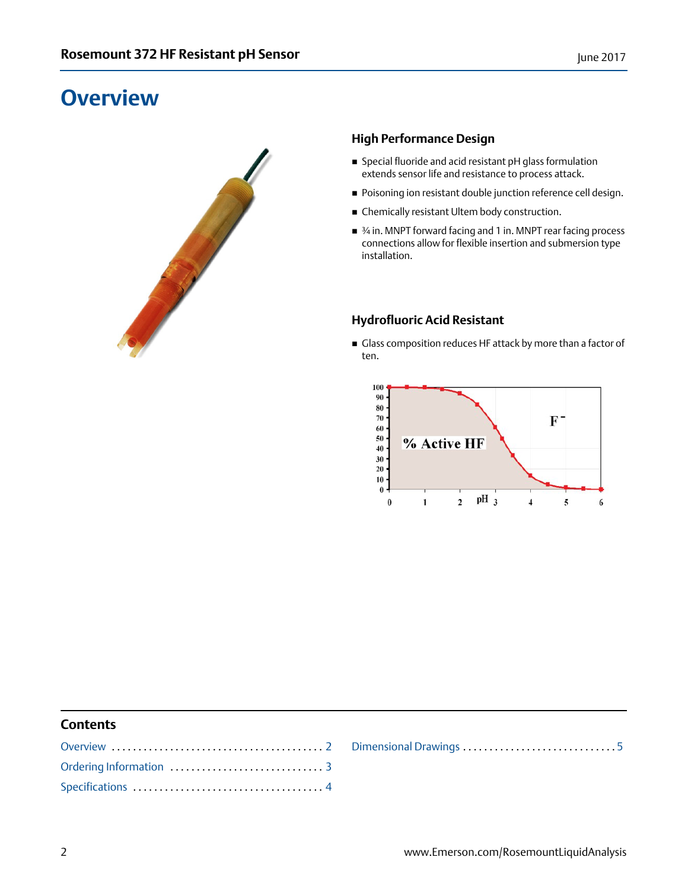## <span id="page-1-0"></span>**Overview**



### **High Performance Design**

- Special fluoride and acid resistant pH glass formulation extends sensor life and resistance to process attack.
- **Poisoning ion resistant double junction reference cell design.**
- Chemically resistant Ultem body construction.
- 3⁄4 in. MNPT forward facing and 1 in. MNPT rear facing process connections allow for flexible insertion and submersion type installation.

#### **Hydrofluoric Acid Resistant**

Glass composition reduces HF attack by more than a factor of ten.



#### **Contents**

[Dimensional Drawings](#page-4-0) . . . . . . . . . . . . . . . . . . . . . . . . . . . . . [5](#page-4-0)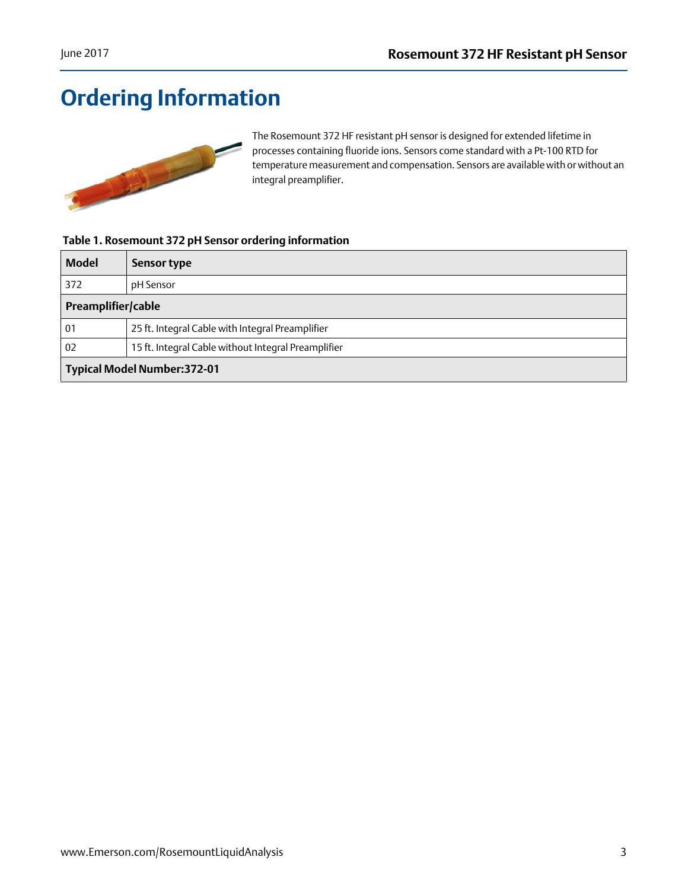## <span id="page-2-0"></span>**Ordering Information**



The Rosemount 372 HF resistant pH sensor is designed for extended lifetime in processes containing fluoride ions. Sensors come standard with a Pt-100 RTD for temperature measurement and compensation. Sensors are available with or without an integral preamplifier.

#### **Table 1. Rosemount 372 pH Sensor ordering information**

| <b>Model</b>                        | <b>Sensor type</b>                                  |  |
|-------------------------------------|-----------------------------------------------------|--|
| 372                                 | pH Sensor                                           |  |
| Preamplifier/cable                  |                                                     |  |
| 01                                  | 25 ft. Integral Cable with Integral Preamplifier    |  |
| 02                                  | 15 ft. Integral Cable without Integral Preamplifier |  |
| <b>Typical Model Number: 372-01</b> |                                                     |  |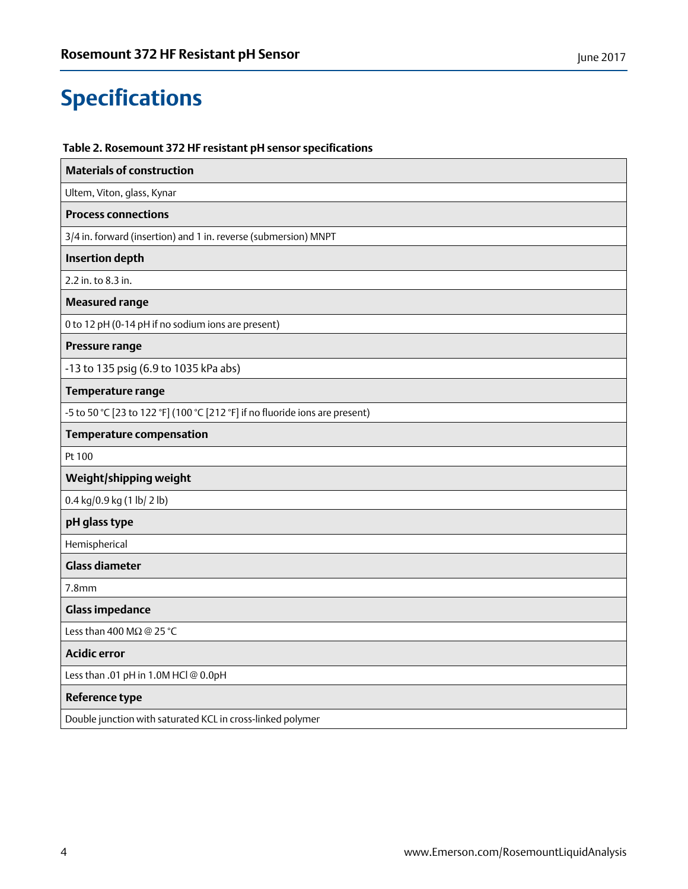## <span id="page-3-0"></span>**Specifications**

### **Table 2. Rosemount 372 HF resistant pH sensor specifications**

| <b>Materials of construction</b>                                             |  |  |
|------------------------------------------------------------------------------|--|--|
| Ultem, Viton, glass, Kynar                                                   |  |  |
| <b>Process connections</b>                                                   |  |  |
| 3/4 in. forward (insertion) and 1 in. reverse (submersion) MNPT              |  |  |
| <b>Insertion depth</b>                                                       |  |  |
| 2.2 in. to 8.3 in.                                                           |  |  |
| <b>Measured range</b>                                                        |  |  |
| 0 to 12 pH (0-14 pH if no sodium ions are present)                           |  |  |
| Pressure range                                                               |  |  |
| -13 to 135 psig (6.9 to 1035 kPa abs)                                        |  |  |
| Temperature range                                                            |  |  |
| -5 to 50 °C [23 to 122 °F] (100 °C [212 °F] if no fluoride ions are present) |  |  |
| <b>Temperature compensation</b>                                              |  |  |
| Pt 100                                                                       |  |  |
| Weight/shipping weight                                                       |  |  |
| 0.4 kg/0.9 kg (1 lb/ 2 lb)                                                   |  |  |
| pH glass type                                                                |  |  |
| Hemispherical                                                                |  |  |
| <b>Glass diameter</b>                                                        |  |  |
| 7.8 <sub>mm</sub>                                                            |  |  |
| <b>Glass impedance</b>                                                       |  |  |
| Less than 400 M $\Omega$ @ 25 °C                                             |  |  |
| <b>Acidic error</b>                                                          |  |  |
| Less than .01 pH in 1.0M HCl @ 0.0pH                                         |  |  |
| <b>Reference type</b>                                                        |  |  |
| Double junction with saturated KCL in cross-linked polymer                   |  |  |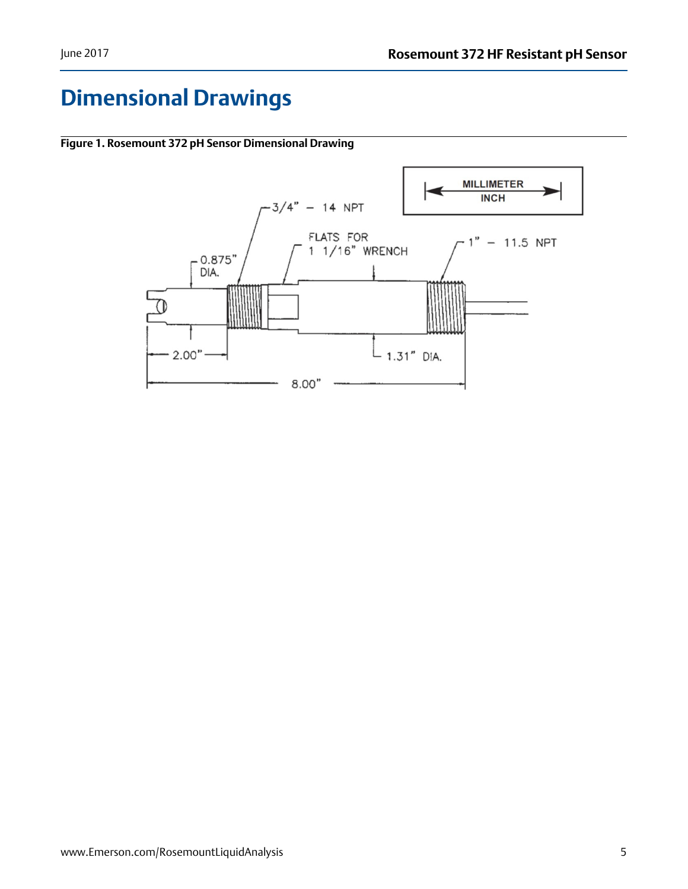## <span id="page-4-0"></span>**Dimensional Drawings**



**Figure 1. Rosemount 372 pH Sensor Dimensional Drawing**